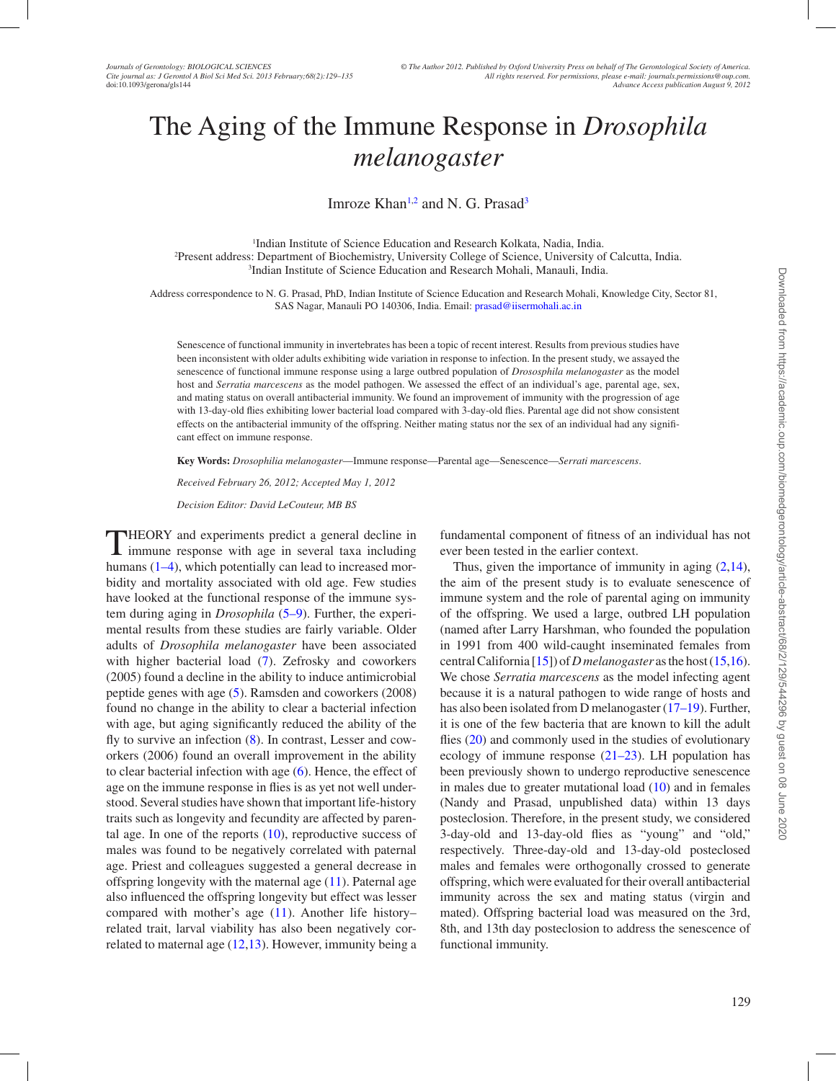# The Aging of the Immune Response in *Drosophila melanogaster*

<span id="page-0-2"></span><span id="page-0-0"></span>Imroze Khan<sup>1[,2](#page-0-1)</sup> and N. G. Prasad<sup>[3](#page-0-2)</sup>

<span id="page-0-1"></span>1 Indian Institute of Science Education and Research Kolkata, Nadia, India. 2 Present address: Department of Biochemistry, University College of Science, University of Calcutta, India. 3 Indian Institute of Science Education and Research Mohali, Manauli, India.

Address correspondence to N. G. Prasad, PhD, Indian Institute of Science Education and Research Mohali, Knowledge City, Sector 81, SAS Nagar, Manauli PO 140306, India. Email: [prasad@iisermohali.ac.in](mailto:prasad@iisermohali.ac.in)

Senescence of functional immunity in invertebrates has been a topic of recent interest. Results from previous studies have been inconsistent with older adults exhibiting wide variation in response to infection. In the present study, we assayed the senescence of functional immune response using a large outbred population of *Drososphila melanogaster* as the model host and *Serratia marcescens* as the model pathogen. We assessed the effect of an individual's age, parental age, sex, and mating status on overall antibacterial immunity. We found an improvement of immunity with the progression of age with 13-day-old flies exhibiting lower bacterial load compared with 3-day-old flies. Parental age did not show consistent effects on the antibacterial immunity of the offspring. Neither mating status nor the sex of an individual had any significant effect on immune response.

**Key Words:** *Drosophilia melanogaster*—Immune response—Parental age—Senescence—*Serrati marcescens*.

*Received February 26, 2012; Accepted May 1, 2012*

*Decision Editor: David LeCouteur, MB BS*

THEORY and experiments predict a general decline in immune response with age in several taxa including humans ([1–4\)](#page-5-0), which potentially can lead to increased morbidity and mortality associated with old age. Few studies have looked at the functional response of the immune system during aging in *Drosophila* ([5–9\)](#page-5-0). Further, the experimental results from these studies are fairly variable. Older adults of *Drosophila melanogaster* have been associated with higher bacterial load ([7\)](#page-5-1). Zefrosky and coworkers (2005) found a decline in the ability to induce antimicrobial peptide genes with age ([5\)](#page-5-2). Ramsden and coworkers (2008) found no change in the ability to clear a bacterial infection with age, but aging significantly reduced the ability of the fly to survive an infection [\(8](#page-5-3)). In contrast, Lesser and coworkers (2006) found an overall improvement in the ability to clear bacterial infection with age ([6\)](#page-5-4). Hence, the effect of age on the immune response in flies is as yet not well understood. Several studies have shown that important life-history traits such as longevity and fecundity are affected by parental age. In one of the reports ([10\)](#page-5-0), reproductive success of males was found to be negatively correlated with paternal age. Priest and colleagues suggested a general decrease in offspring longevity with the maternal age ([11\)](#page-5-5). Paternal age also influenced the offspring longevity but effect was lesser compared with mother's age [\(11](#page-5-5)). Another life history– related trait, larval viability has also been negatively correlated to maternal age ([12](#page-5-6)[,13](#page-5-7)). However, immunity being a

fundamental component of fitness of an individual has not ever been tested in the earlier context.

Thus, given the importance of immunity in aging  $(2,14)$  $(2,14)$  $(2,14)$  $(2,14)$ , the aim of the present study is to evaluate senescence of immune system and the role of parental aging on immunity of the offspring. We used a large, outbred LH population (named after Larry Harshman, who founded the population in 1991 from 400 wild-caught inseminated females from central California [[15\]](#page-5-10)) of *D melanogaster* as the host [\(15](#page-5-10),[16](#page-5-11)). We chose *Serratia marcescens* as the model infecting agent because it is a natural pathogen to wide range of hosts and has also been isolated from D melanogaster ([17–19\)](#page-5-0). Further, it is one of the few bacteria that are known to kill the adult flies ([20\)](#page-5-12) and commonly used in the studies of evolutionary ecology of immune response [\(21–23\)](#page-5-0). LH population has been previously shown to undergo reproductive senescence in males due to greater mutational load  $(10)$  $(10)$  and in females (Nandy and Prasad, unpublished data) within 13 days posteclosion. Therefore, in the present study, we considered 3-day-old and 13-day-old flies as "young" and "old," respectively. Three-day-old and 13-day-old posteclosed males and females were orthogonally crossed to generate offspring, which were evaluated for their overall antibacterial immunity across the sex and mating status (virgin and mated). Offspring bacterial load was measured on the 3rd, 8th, and 13th day posteclosion to address the senescence of functional immunity.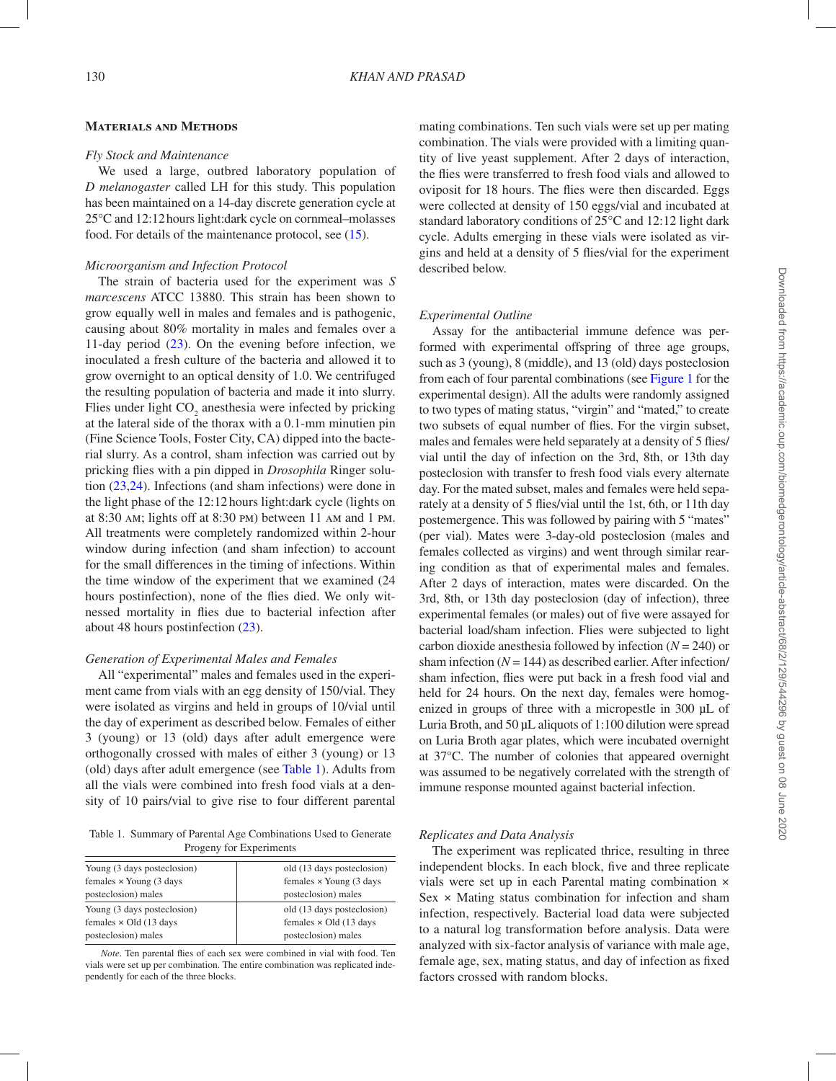## **Materials and Methods**

#### *Fly Stock and Maintenance*

We used a large, outbred laboratory population of *D melanogaster* called LH for this study. This population has been maintained on a 14-day discrete generation cycle at 25°C and 12:12hours light:dark cycle on cornmeal–molasses food. For details of the maintenance protocol, see [\(15\)](#page-5-10).

### *Microorganism and Infection Protocol*

The strain of bacteria used for the experiment was *S marcescens* ATCC 13880. This strain has been shown to grow equally well in males and females and is pathogenic, causing about 80% mortality in males and females over a 11-day period ([23\)](#page-5-13). On the evening before infection, we inoculated a fresh culture of the bacteria and allowed it to grow overnight to an optical density of 1.0. We centrifuged the resulting population of bacteria and made it into slurry. Flies under light  $CO_2$  anesthesia were infected by pricking at the lateral side of the thorax with a 0.1-mm minutien pin (Fine Science Tools, Foster City, CA) dipped into the bacterial slurry. As a control, sham infection was carried out by pricking flies with a pin dipped in *Drosophila* Ringer solution ([23,](#page-5-13)[24](#page-5-14)). Infections (and sham infections) were done in the light phase of the 12:12 hours light:dark cycle (lights on at 8:30 am; lights off at 8:30 pm) between 11 am and 1 pm. All treatments were completely randomized within 2-hour window during infection (and sham infection) to account for the small differences in the timing of infections. Within the time window of the experiment that we examined (24 hours postinfection), none of the flies died. We only witnessed mortality in flies due to bacterial infection after about 48 hours postinfection ([23\)](#page-5-13).

#### *Generation of Experimental Males and Females*

All "experimental" males and females used in the experiment came from vials with an egg density of 150/vial. They were isolated as virgins and held in groups of 10/vial until the day of experiment as described below. Females of either 3 (young) or 13 (old) days after adult emergence were orthogonally crossed with males of either 3 (young) or 13 (old) days after adult emergence (see [Table 1](#page-1-0)). Adults from all the vials were combined into fresh food vials at a density of 10 pairs/vial to give rise to four different parental

<span id="page-1-0"></span>Table 1. Summary of Parental Age Combinations Used to Generate Progeny for Experiments

| Young (3 days posteclosion)    | old (13 days posteclosion)     |
|--------------------------------|--------------------------------|
| females $\times$ Young (3 days | females $\times$ Young (3 days |
| posteclosion) males            | posteclosion) males            |
| Young (3 days posteclosion)    | old (13 days posteclosion)     |
| females $\times$ Old (13 days  | females $\times$ Old (13 days  |
| posteclosion) males            | posteclosion) males            |

*Note*. Ten parental flies of each sex were combined in vial with food. Ten vials were set up per combination. The entire combination was replicated independently for each of the three blocks.

mating combinations. Ten such vials were set up per mating combination. The vials were provided with a limiting quantity of live yeast supplement. After 2 days of interaction, the flies were transferred to fresh food vials and allowed to oviposit for 18 hours. The flies were then discarded. Eggs were collected at density of 150 eggs/vial and incubated at standard laboratory conditions of 25°C and 12:12 light dark cycle. Adults emerging in these vials were isolated as virgins and held at a density of 5 flies/vial for the experiment described below.

## *Experimental Outline*

Assay for the antibacterial immune defence was performed with experimental offspring of three age groups, such as 3 (young), 8 (middle), and 13 (old) days posteclosion from each of four parental combinations (see [Figure 1](#page-2-0) for the experimental design). All the adults were randomly assigned to two types of mating status, "virgin" and "mated," to create two subsets of equal number of flies. For the virgin subset, males and females were held separately at a density of 5 flies/ vial until the day of infection on the 3rd, 8th, or 13th day posteclosion with transfer to fresh food vials every alternate day. For the mated subset, males and females were held separately at a density of 5 flies/vial until the 1st, 6th, or 11th day postemergence. This was followed by pairing with 5 "mates" (per vial). Mates were 3-day-old posteclosion (males and females collected as virgins) and went through similar rearing condition as that of experimental males and females. After 2 days of interaction, mates were discarded. On the 3rd, 8th, or 13th day posteclosion (day of infection), three experimental females (or males) out of five were assayed for bacterial load/sham infection. Flies were subjected to light carbon dioxide anesthesia followed by infection (*N* = 240) or sham infection  $(N = 144)$  as described earlier. After infection/ sham infection, flies were put back in a fresh food vial and held for 24 hours. On the next day, females were homogenized in groups of three with a micropestle in 300 µL of Luria Broth, and 50 µL aliquots of 1:100 dilution were spread on Luria Broth agar plates, which were incubated overnight at 37°C. The number of colonies that appeared overnight was assumed to be negatively correlated with the strength of immune response mounted against bacterial infection.

## *Replicates and Data Analysis*

The experiment was replicated thrice, resulting in three independent blocks. In each block, five and three replicate vials were set up in each Parental mating combination ×  $Sex \times$  Mating status combination for infection and sham infection, respectively. Bacterial load data were subjected to a natural log transformation before analysis. Data were analyzed with six-factor analysis of variance with male age, female age, sex, mating status, and day of infection as fixed factors crossed with random blocks.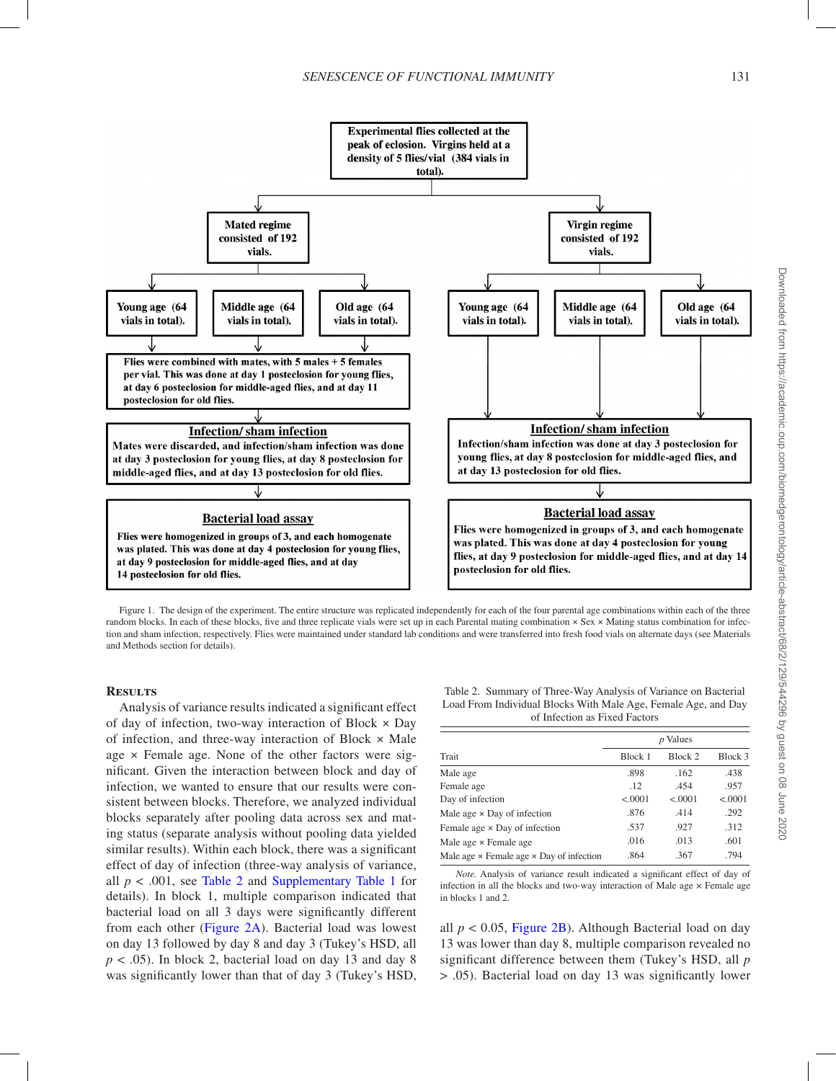

<span id="page-2-0"></span>Figure 1. The design of the experiment. The entire structure was replicated independently for each of the four parental age combinations within each of the three random blocks. In each of these blocks, five and three replicate vials were set up in each Parental mating combination × Sex × Mating status combination for infection and sham infection, respectively. Flies were maintained under standard lab conditions and were transferred into fresh food vials on alternate days (see Materials and Methods section for details).

#### **Results**

Analysis of variance results indicated a significant effect of day of infection, two-way interaction of Block × Day of infection, and three-way interaction of Block × Male age × Female age. None of the other factors were significant. Given the interaction between block and day of infection, we wanted to ensure that our results were consistent between blocks. Therefore, we analyzed individual blocks separately after pooling data across sex and mating status (separate analysis without pooling data yielded similar results). Within each block, there was a significant effect of day of infection (three-way analysis of variance, all  $p < .001$ , see [Table 2](#page-2-1) and [Supplementary Table 1](http://gerona.oxfordjournals.org/lookup/suppl/doi:10.1093/gerona/gls144/-/DC1) for details). In block 1, multiple comparison indicated that bacterial load on all 3 days were significantly different from each other ([Figure 2A\)](#page-3-0). Bacterial load was lowest on day 13 followed by day 8 and day 3 (Tukey's HSD, all  $p < .05$ ). In block 2, bacterial load on day 13 and day 8 was significantly lower than that of day 3 (Tukey's HSD,

<span id="page-2-1"></span>Table 2. Summary of Three-Way Analysis of Variance on Bacterial Load From Individual Blocks With Male Age, Female Age, and Day of Infection as Fixed Factors

|                                                        | <i>p</i> Values |          |         |  |
|--------------------------------------------------------|-----------------|----------|---------|--|
| Trait                                                  | Block 1         | Block 2  | Block 3 |  |
| Male age                                               | .898            | .162     | .438    |  |
| Female age                                             | .12             | .454     | .957    |  |
| Day of infection                                       | < .0001         | < 0.0001 | < .0001 |  |
| Male age $\times$ Day of infection                     | .876            | .414     | .292    |  |
| Female age $\times$ Day of infection                   | .537            | .927     | .312    |  |
| Male age × Female age                                  | .016            | .013     | .601    |  |
| Male age $\times$ Female age $\times$ Day of infection | .864            | .367     | .794    |  |

*Note.* Analysis of variance result indicated a significant effect of day of infection in all the blocks and two-way interaction of Male age  $\times$  Female age in blocks 1 and 2.

all  $p < 0.05$ , [Figure 2B](#page-3-0)). Although Bacterial load on day 13 was lower than day 8, multiple comparison revealed no significant difference between them (Tukey's HSD, all *p* > .05). Bacterial load on day 13 was significantly lower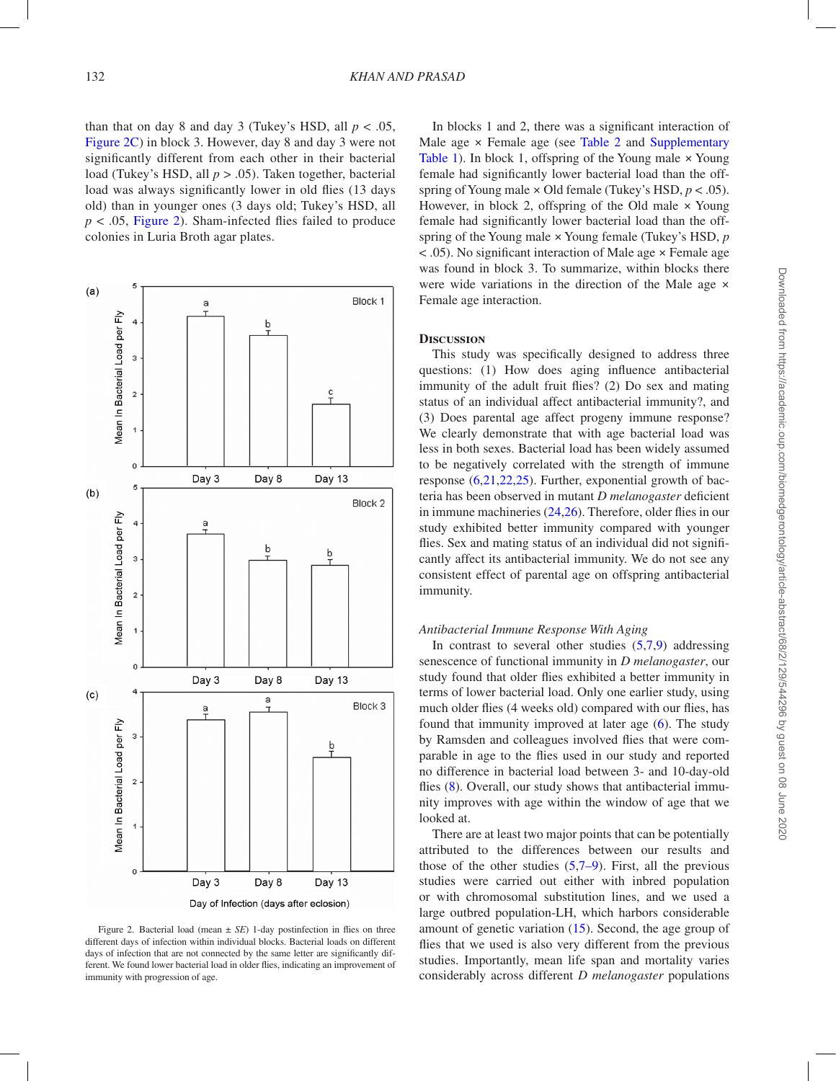than that on day 8 and day 3 (Tukey's HSD, all  $p < .05$ , [Figure 2C](#page-3-0)) in block 3. However, day 8 and day 3 were not significantly different from each other in their bacterial load (Tukey's HSD, all *p* > .05). Taken together, bacterial load was always significantly lower in old flies (13 days old) than in younger ones (3 days old; Tukey's HSD, all  $p < .05$ , [Figure 2](#page-3-0)). Sham-infected flies failed to produce colonies in Luria Broth agar plates.



<span id="page-3-0"></span>Figure 2. Bacterial load (mean  $\pm$  *SE*) 1-day postinfection in flies on three different days of infection within individual blocks. Bacterial loads on different days of infection that are not connected by the same letter are significantly different. We found lower bacterial load in older flies, indicating an improvement of immunity with progression of age.

In blocks 1 and 2, there was a significant interaction of Male age  $\times$  Female age (see Table 2 and [Supplementary](http://gerona.oxfordjournals.org/lookup/suppl/doi:10.1093/gerona/gls144/-/DC1) [Table 1\)](http://gerona.oxfordjournals.org/lookup/suppl/doi:10.1093/gerona/gls144/-/DC1). In block 1, offspring of the Young male  $\times$  Young female had significantly lower bacterial load than the offspring of Young male × Old female (Tukey's HSD, *p* < .05). However, in block 2, offspring of the Old male  $\times$  Young female had significantly lower bacterial load than the offspring of the Young male × Young female (Tukey's HSD, *p* < .05). No significant interaction of Male age × Female age was found in block 3. To summarize, within blocks there were wide variations in the direction of the Male age  $\times$ Female age interaction.

#### **Discussion**

This study was specifically designed to address three questions: (1) How does aging influence antibacterial immunity of the adult fruit flies? (2) Do sex and mating status of an individual affect antibacterial immunity?, and (3) Does parental age affect progeny immune response? We clearly demonstrate that with age bacterial load was less in both sexes. Bacterial load has been widely assumed to be negatively correlated with the strength of immune response ([6](#page-5-4)[,21](#page-5-15),[22](#page-5-16)[,25](#page-5-17)). Further, exponential growth of bacteria has been observed in mutant *D melanogaster* deficient in immune machineries ([24](#page-5-14)[,26](#page-5-18)). Therefore, older flies in our study exhibited better immunity compared with younger flies. Sex and mating status of an individual did not significantly affect its antibacterial immunity. We do not see any consistent effect of parental age on offspring antibacterial immunity.

#### *Antibacterial Immune Response With Aging*

In contrast to several other studies  $(5,7,9)$  $(5,7,9)$  $(5,7,9)$  $(5,7,9)$  $(5,7,9)$  addressing senescence of functional immunity in *D melanogaster*, our study found that older flies exhibited a better immunity in terms of lower bacterial load. Only one earlier study, using much older flies (4 weeks old) compared with our flies, has found that immunity improved at later age [\(6](#page-5-4)). The study by Ramsden and colleagues involved flies that were comparable in age to the flies used in our study and reported no difference in bacterial load between 3- and 10-day-old flies [\(8](#page-5-3)). Overall, our study shows that antibacterial immunity improves with age within the window of age that we looked at.

There are at least two major points that can be potentially attributed to the differences between our results and those of the other studies  $(5,7-9)$  $(5,7-9)$  $(5,7-9)$ . First, all the previous studies were carried out either with inbred population or with chromosomal substitution lines, and we used a large outbred population-LH, which harbors considerable amount of genetic variation ([15\)](#page-5-10). Second, the age group of flies that we used is also very different from the previous studies. Importantly, mean life span and mortality varies considerably across different *D melanogaster* populations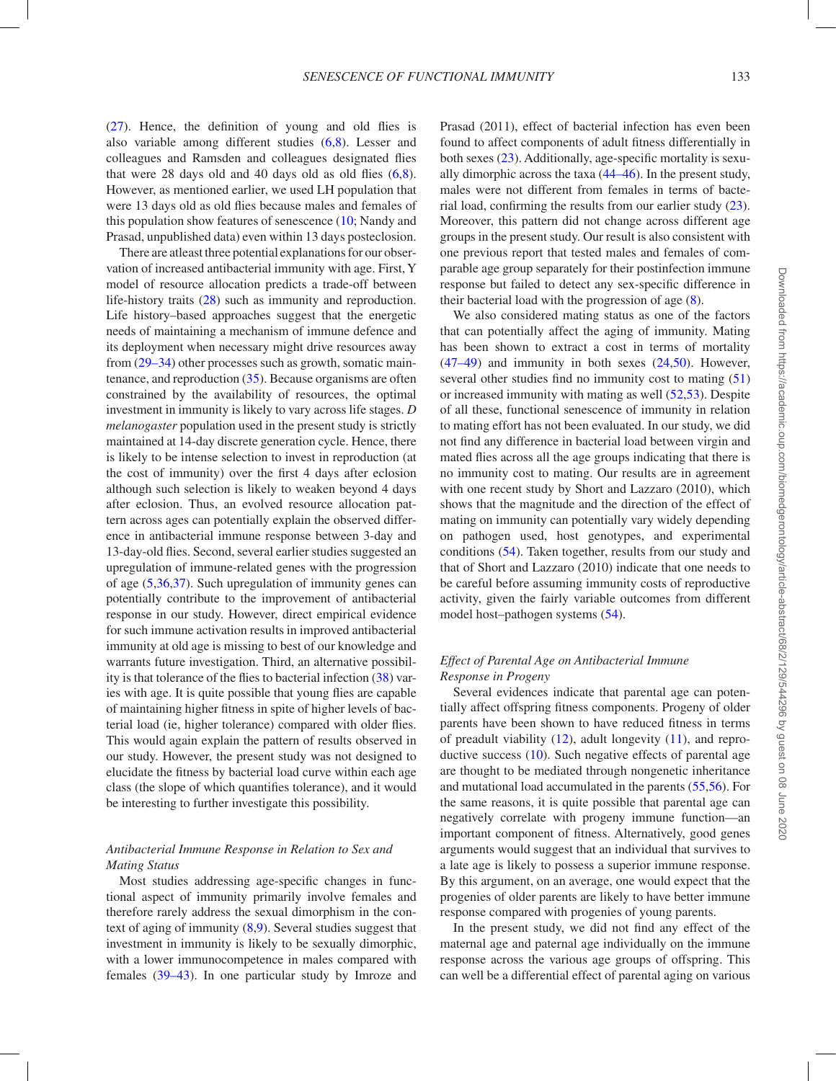[\(27](#page-5-20)). Hence, the definition of young and old flies is also variable among different studies [\(6](#page-5-4),[8\)](#page-5-3). Lesser and colleagues and Ramsden and colleagues designated flies that were 28 days old and 40 days old as old flies  $(6.8)$  $(6.8)$  $(6.8)$ . However, as mentioned earlier, we used LH population that were 13 days old as old flies because males and females of this population show features of senescence [\(10](#page-5-0); Nandy and Prasad, unpublished data) even within 13 days posteclosion.

There are atleast three potential explanations for our observation of increased antibacterial immunity with age. First, Y model of resource allocation predicts a trade-off between life-history traits ([28\)](#page-5-21) such as immunity and reproduction. Life history–based approaches suggest that the energetic needs of maintaining a mechanism of immune defence and its deployment when necessary might drive resources away from ([29–34\)](#page-5-0) other processes such as growth, somatic maintenance, and reproduction ([35\)](#page-6-0). Because organisms are often constrained by the availability of resources, the optimal investment in immunity is likely to vary across life stages. *D melanogaster* population used in the present study is strictly maintained at 14-day discrete generation cycle. Hence, there is likely to be intense selection to invest in reproduction (at the cost of immunity) over the first 4 days after eclosion although such selection is likely to weaken beyond 4 days after eclosion. Thus, an evolved resource allocation pattern across ages can potentially explain the observed difference in antibacterial immune response between 3-day and 13-day-old flies. Second, several earlier studies suggested an upregulation of immune-related genes with the progression of age ([5](#page-5-2)[,36](#page-6-1),[37\)](#page-6-2). Such upregulation of immunity genes can potentially contribute to the improvement of antibacterial response in our study. However, direct empirical evidence for such immune activation results in improved antibacterial immunity at old age is missing to best of our knowledge and warrants future investigation. Third, an alternative possibility is that tolerance of the flies to bacterial infection ([38\)](#page-6-3) varies with age. It is quite possible that young flies are capable of maintaining higher fitness in spite of higher levels of bacterial load (ie, higher tolerance) compared with older flies. This would again explain the pattern of results observed in our study. However, the present study was not designed to elucidate the fitness by bacterial load curve within each age class (the slope of which quantifies tolerance), and it would be interesting to further investigate this possibility.

## *Antibacterial Immune Response in Relation to Sex and Mating Status*

Most studies addressing age-specific changes in functional aspect of immunity primarily involve females and therefore rarely address the sexual dimorphism in the context of aging of immunity [\(8](#page-5-3),[9\)](#page-5-19). Several studies suggest that investment in immunity is likely to be sexually dimorphic, with a lower immunocompetence in males compared with females ([39–43\)](#page-5-0). In one particular study by Imroze and Prasad (2011), effect of bacterial infection has even been found to affect components of adult fitness differentially in both sexes [\(23](#page-5-13)). Additionally, age-specific mortality is sexually dimorphic across the taxa ([44–46\)](#page-5-0). In the present study, males were not different from females in terms of bacterial load, confirming the results from our earlier study ([23](#page-5-13)). Moreover, this pattern did not change across different age groups in the present study. Our result is also consistent with one previous report that tested males and females of comparable age group separately for their postinfection immune response but failed to detect any sex-specific difference in their bacterial load with the progression of age [\(8](#page-5-3)).

We also considered mating status as one of the factors that can potentially affect the aging of immunity. Mating has been shown to extract a cost in terms of mortality ([47–49\)](#page-5-0) and immunity in both sexes ([24](#page-5-14)[,50](#page-6-4)). However, several other studies find no immunity cost to mating ([51\)](#page-6-5) or increased immunity with mating as well [\(52](#page-6-6),[53\)](#page-6-7). Despite of all these, functional senescence of immunity in relation to mating effort has not been evaluated. In our study, we did not find any difference in bacterial load between virgin and mated flies across all the age groups indicating that there is no immunity cost to mating. Our results are in agreement with one recent study by Short and Lazzaro (2010), which shows that the magnitude and the direction of the effect of mating on immunity can potentially vary widely depending on pathogen used, host genotypes, and experimental conditions [\(54](#page-6-8)). Taken together, results from our study and that of Short and Lazzaro (2010) indicate that one needs to be careful before assuming immunity costs of reproductive activity, given the fairly variable outcomes from different model host–pathogen systems [\(54](#page-6-8)).

# *Effect of Parental Age on Antibacterial Immune Response in Progeny*

Several evidences indicate that parental age can potentially affect offspring fitness components. Progeny of older parents have been shown to have reduced fitness in terms of preadult viability  $(12)$  $(12)$ , adult longevity  $(11)$  $(11)$ , and reproductive success [\(10](#page-5-0)). Such negative effects of parental age are thought to be mediated through nongenetic inheritance and mutational load accumulated in the parents ([55,](#page-6-9)[56\)](#page-6-10). For the same reasons, it is quite possible that parental age can negatively correlate with progeny immune function—an important component of fitness. Alternatively, good genes arguments would suggest that an individual that survives to a late age is likely to possess a superior immune response. By this argument, on an average, one would expect that the progenies of older parents are likely to have better immune response compared with progenies of young parents.

In the present study, we did not find any effect of the maternal age and paternal age individually on the immune response across the various age groups of offspring. This can well be a differential effect of parental aging on various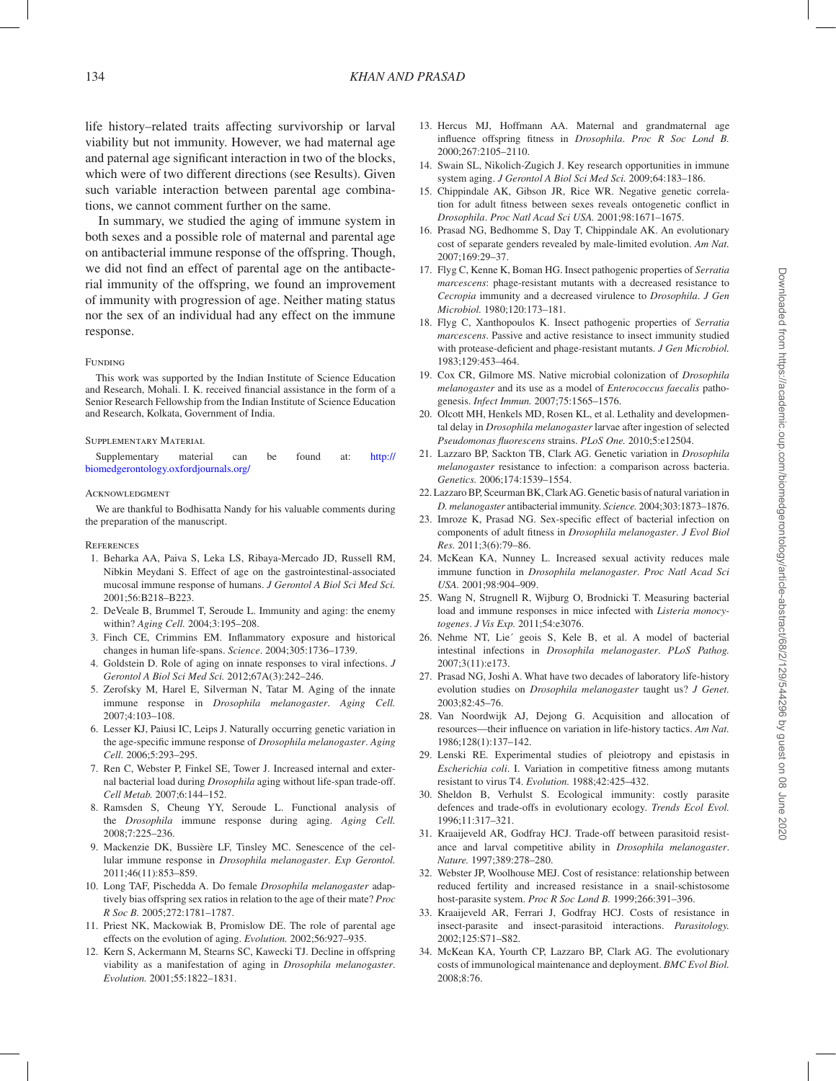life history–related traits affecting survivorship or larval viability but not immunity. However, we had maternal age and paternal age significant interaction in two of the blocks, which were of two different directions (see Results). Given such variable interaction between parental age combinations, we cannot comment further on the same.

In summary, we studied the aging of immune system in both sexes and a possible role of maternal and parental age on antibacterial immune response of the offspring. Though, we did not find an effect of parental age on the antibacterial immunity of the offspring, we found an improvement of immunity with progression of age. Neither mating status nor the sex of an individual had any effect on the immune response.

#### Funding

This work was supported by the Indian Institute of Science Education and Research, Mohali. I. K. received financial assistance in the form of a Senior Research Fellowship from the Indian Institute of Science Education and Research, Kolkata, Government of India.

#### Supplementary Material

| Supplementary                         | material | can | be | found | at: | http:// |
|---------------------------------------|----------|-----|----|-------|-----|---------|
| biomedgerontology.oxfordjournals.org/ |          |     |    |       |     |         |

#### ACKNOWLEDGMENT

We are thankful to Bodhisatta Nandy for his valuable comments during the preparation of the manuscript.

- **REFERENCES**
- 1. Beharka AA, Paiva S, Leka LS, Ribaya-Mercado JD, Russell RM, Nibkin Meydani S. Effect of age on the gastrointestinal-associated mucosal immune response of humans. *J Gerontol A Biol Sci Med Sci.* 2001;56:B218–B223.
- <span id="page-5-8"></span>2. DeVeale B, Brummel T, Seroude L. Immunity and aging: the enemy within? *Aging Cell.* 2004;3:195–208.
- 3. Finch CE, Crimmins EM. Inflammatory exposure and historical changes in human life-spans. *Science*. 2004;305:1736–1739.
- 4. Goldstein D. Role of aging on innate responses to viral infections. *J Gerontol A Biol Sci Med Sci.* 2012;67A(3):242–246.
- <span id="page-5-2"></span>5. Zerofsky M, Harel E, Silverman N, Tatar M. Aging of the innate immune response in *Drosophila melanogaster*. *Aging Cell.* 2007;4:103–108.
- <span id="page-5-4"></span>6. Lesser KJ, Paiusi IC, Leips J. Naturally occurring genetic variation in the age-specific immune response of *Drosophila melanogaster*. *Aging Cell.* 2006;5:293–295.
- <span id="page-5-1"></span>7. Ren C, Webster P, Finkel SE, Tower J. Increased internal and external bacterial load during *Drosophila* aging without life-span trade-off. *Cell Metab.* 2007;6:144–152.
- <span id="page-5-3"></span>8. Ramsden S, Cheung YY, Seroude L. Functional analysis of the *Drosophila* immune response during aging. *Aging Cell.* 2008;7:225–236.
- <span id="page-5-19"></span>9. Mackenzie DK, Bussière LF, Tinsley MC. Senescence of the cellular immune response in *Drosophila melanogaster*. *Exp Gerontol.* 2011;46(11):853–859.
- <span id="page-5-0"></span>10. Long TAF, Pischedda A. Do female *Drosophila melanogaster* adaptively bias offspring sex ratios in relation to the age of their mate? *Proc R Soc B.* 2005;272:1781–1787.
- <span id="page-5-5"></span>11. Priest NK, Mackowiak B, Promislow DE. The role of parental age effects on the evolution of aging. *Evolution.* 2002;56:927–935.
- <span id="page-5-6"></span>12. Kern S, Ackermann M, Stearns SC, Kawecki TJ. Decline in offspring viability as a manifestation of aging in *Drosophila melanogaster*. *Evolution.* 2001;55:1822–1831.
- <span id="page-5-7"></span>13. Hercus MJ, Hoffmann AA. Maternal and grandmaternal age influence offspring fitness in *Drosophila*. *Proc R Soc Lond B.* 2000;267:2105–2110.
- <span id="page-5-9"></span>14. Swain SL, Nikolich-Zugich J. Key research opportunities in immune system aging. *J Gerontol A Biol Sci Med Sci.* 2009;64:183–186.
- <span id="page-5-10"></span>15. Chippindale AK, Gibson JR, Rice WR. Negative genetic correlation for adult fitness between sexes reveals ontogenetic conflict in *Drosophila*. *Proc Natl Acad Sci USA.* 2001;98:1671–1675.
- <span id="page-5-11"></span>16. Prasad NG, Bedhomme S, Day T, Chippindale AK. An evolutionary cost of separate genders revealed by male-limited evolution. *Am Nat.* 2007;169:29–37.
- 17. Flyg C, Kenne K, Boman HG. Insect pathogenic properties of *Serratia marcescens*: phage-resistant mutants with a decreased resistance to *Cecropia* immunity and a decreased virulence to *Drosophila*. *J Gen Microbiol.* 1980;120:173–181.
- 18. Flyg C, Xanthopoulos K. Insect pathogenic properties of *Serratia marcescens*. Passive and active resistance to insect immunity studied with protease-deficient and phage-resistant mutants. *J Gen Microbiol.* 1983;129:453–464.
- 19. Cox CR, Gilmore MS. Native microbial colonization of *Drosophila melanogaster* and its use as a model of *Enterococcus faecalis* pathogenesis. *Infect Immun.* 2007;75:1565–1576.
- <span id="page-5-12"></span>20. Olcott MH, Henkels MD, Rosen KL, et al. Lethality and developmental delay in *Drosophila melanogaster* larvae after ingestion of selected *Pseudomonas fluorescens* strains. *PLoS One.* 2010;5:e12504.
- <span id="page-5-15"></span>21. Lazzaro BP, Sackton TB, Clark AG. Genetic variation in *Drosophila melanogaster* resistance to infection: a comparison across bacteria. *Genetics.* 2006;174:1539–1554.
- <span id="page-5-16"></span>22. Lazzaro BP, Sceurman BK, Clark AG. Genetic basis of natural variation in *D. melanogaster* antibacterial immunity. *Science.* 2004;303:1873–1876.
- <span id="page-5-13"></span>23. Imroze K, Prasad NG. Sex-specific effect of bacterial infection on components of adult fitness in *Drosophila melanogaster*. *J Evol Biol Res.* 2011;3(6):79–86.
- <span id="page-5-14"></span>24. McKean KA, Nunney L. Increased sexual activity reduces male immune function in *Drosophila melanogaster*. *Proc Natl Acad Sci USA.* 2001;98:904–909.
- <span id="page-5-17"></span>25. Wang N, Strugnell R, Wijburg O, Brodnicki T. Measuring bacterial load and immune responses in mice infected with *Listeria monocytogenes*. *J Vis Exp.* 2011;54:e3076.
- <span id="page-5-18"></span>26. Nehme NT, Lie´ geois S, Kele B, et al. A model of bacterial intestinal infections in *Drosophila melanogaster*. *PLoS Pathog.* 2007;3(11):e173.
- <span id="page-5-20"></span>27. Prasad NG, Joshi A. What have two decades of laboratory life-history evolution studies on *Drosophila melanogaster* taught us? *J Genet.* 2003;82:45–76.
- <span id="page-5-21"></span>28. Van Noordwijk AJ, Dejong G. Acquisition and allocation of resources—their influence on variation in life-history tactics. *Am Nat.* 1986;128(1):137–142.
- 29. Lenski RE. Experimental studies of pleiotropy and epistasis in *Escherichia coli*. I. Variation in competitive fitness among mutants resistant to virus T4. *Evolution.* 1988;42:425–432.
- 30. Sheldon B, Verhulst S. Ecological immunity: costly parasite defences and trade-offs in evolutionary ecology. *Trends Ecol Evol.* 1996;11:317–321.
- 31. Kraaijeveld AR, Godfray HCJ. Trade-off between parasitoid resistance and larval competitive ability in *Drosophila melanogaster*. *Nature.* 1997;389:278–280.
- 32. Webster JP, Woolhouse MEJ. Cost of resistance: relationship between reduced fertility and increased resistance in a snail-schistosome host-parasite system. *Proc R Soc Lond B.* 1999;266:391–396.
- 33. Kraaijeveld AR, Ferrari J, Godfray HCJ. Costs of resistance in insect-parasite and insect-parasitoid interactions. *Parasitology.* 2002;125:S71–S82.
- 34. McKean KA, Yourth CP, Lazzaro BP, Clark AG. The evolutionary costs of immunological maintenance and deployment. *BMC Evol Biol.* 2008;8:76.